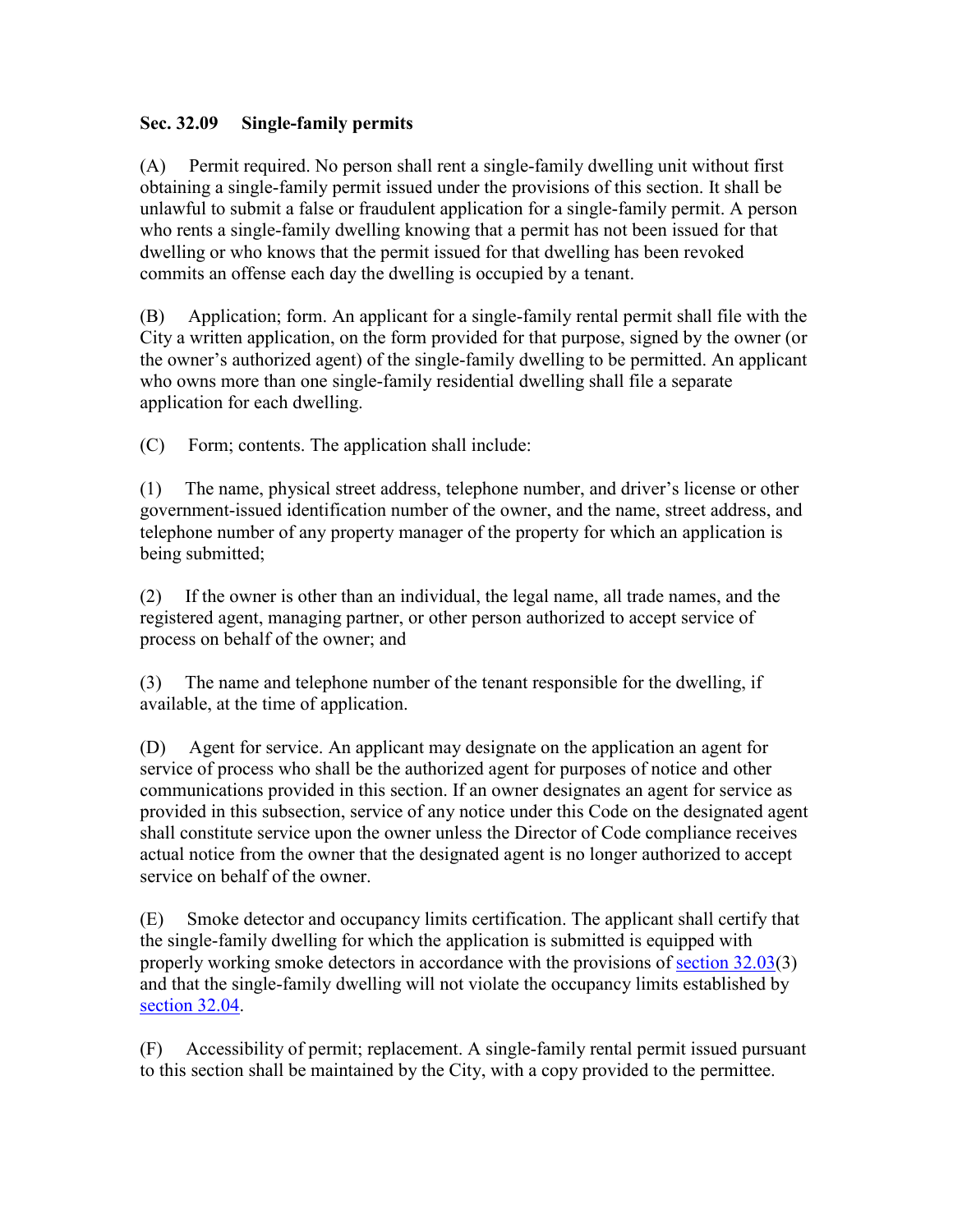## **Sec. 32.09 Single-family permits**

(A) Permit required. No person shall rent a single-family dwelling unit without first obtaining a single-family permit issued under the provisions of this section. It shall be unlawful to submit a false or fraudulent application for a single-family permit. A person who rents a single-family dwelling knowing that a permit has not been issued for that dwelling or who knows that the permit issued for that dwelling has been revoked commits an offense each day the dwelling is occupied by a tenant.

(B) Application; form. An applicant for a single-family rental permit shall file with the City a written application, on the form provided for that purpose, signed by the owner (or the owner's authorized agent) of the single-family dwelling to be permitted. An applicant who owns more than one single-family residential dwelling shall file a separate application for each dwelling.

(C) Form; contents. The application shall include:

(1) The name, physical street address, telephone number, and driver's license or other government-issued identification number of the owner, and the name, street address, and telephone number of any property manager of the property for which an application is being submitted;

(2) If the owner is other than an individual, the legal name, all trade names, and the registered agent, managing partner, or other person authorized to accept service of process on behalf of the owner; and

(3) The name and telephone number of the tenant responsible for the dwelling, if available, at the time of application.

(D) Agent for service. An applicant may designate on the application an agent for service of process who shall be the authorized agent for purposes of notice and other communications provided in this section. If an owner designates an agent for service as provided in this subsection, service of any notice under this Code on the designated agent shall constitute service upon the owner unless the Director of Code compliance receives actual notice from the owner that the designated agent is no longer authorized to accept service on behalf of the owner.

(E) Smoke detector and occupancy limits certification. The applicant shall certify that the single-family dwelling for which the application is submitted is equipped with properly working smoke detectors in accordance with the provisions of section 32.03(3) and that the single-family dwelling will not violate the occupancy limits established by section 32.04.

(F) Accessibility of permit; replacement. A single-family rental permit issued pursuant to this section shall be maintained by the City, with a copy provided to the permittee.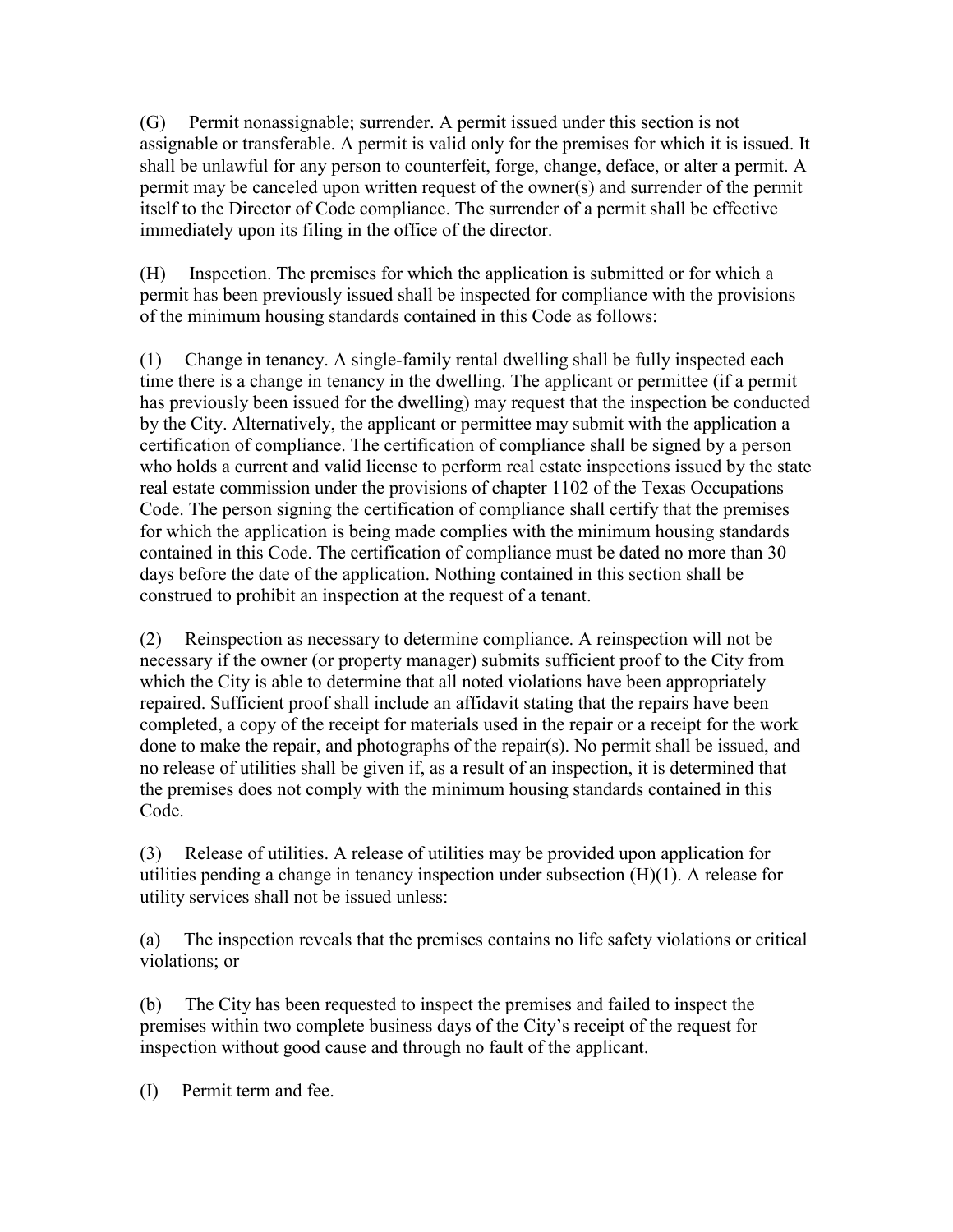(G) Permit nonassignable; surrender. A permit issued under this section is not assignable or transferable. A permit is valid only for the premises for which it is issued. It shall be unlawful for any person to counterfeit, forge, change, deface, or alter a permit. A permit may be canceled upon written request of the owner(s) and surrender of the permit itself to the Director of Code compliance. The surrender of a permit shall be effective immediately upon its filing in the office of the director.

(H) Inspection. The premises for which the application is submitted or for which a permit has been previously issued shall be inspected for compliance with the provisions of the minimum housing standards contained in this Code as follows:

(1) Change in tenancy. A single-family rental dwelling shall be fully inspected each time there is a change in tenancy in the dwelling. The applicant or permittee (if a permit has previously been issued for the dwelling) may request that the inspection be conducted by the City. Alternatively, the applicant or permittee may submit with the application a certification of compliance. The certification of compliance shall be signed by a person who holds a current and valid license to perform real estate inspections issued by the state real estate commission under the provisions of chapter 1102 of the Texas Occupations Code. The person signing the certification of compliance shall certify that the premises for which the application is being made complies with the minimum housing standards contained in this Code. The certification of compliance must be dated no more than 30 days before the date of the application. Nothing contained in this section shall be construed to prohibit an inspection at the request of a tenant.

(2) Reinspection as necessary to determine compliance. A reinspection will not be necessary if the owner (or property manager) submits sufficient proof to the City from which the City is able to determine that all noted violations have been appropriately repaired. Sufficient proof shall include an affidavit stating that the repairs have been completed, a copy of the receipt for materials used in the repair or a receipt for the work done to make the repair, and photographs of the repair(s). No permit shall be issued, and no release of utilities shall be given if, as a result of an inspection, it is determined that the premises does not comply with the minimum housing standards contained in this Code.

(3) Release of utilities. A release of utilities may be provided upon application for utilities pending a change in tenancy inspection under subsection (H)(1). A release for utility services shall not be issued unless:

(a) The inspection reveals that the premises contains no life safety violations or critical violations; or

(b) The City has been requested to inspect the premises and failed to inspect the premises within two complete business days of the City's receipt of the request for inspection without good cause and through no fault of the applicant.

(I) Permit term and fee.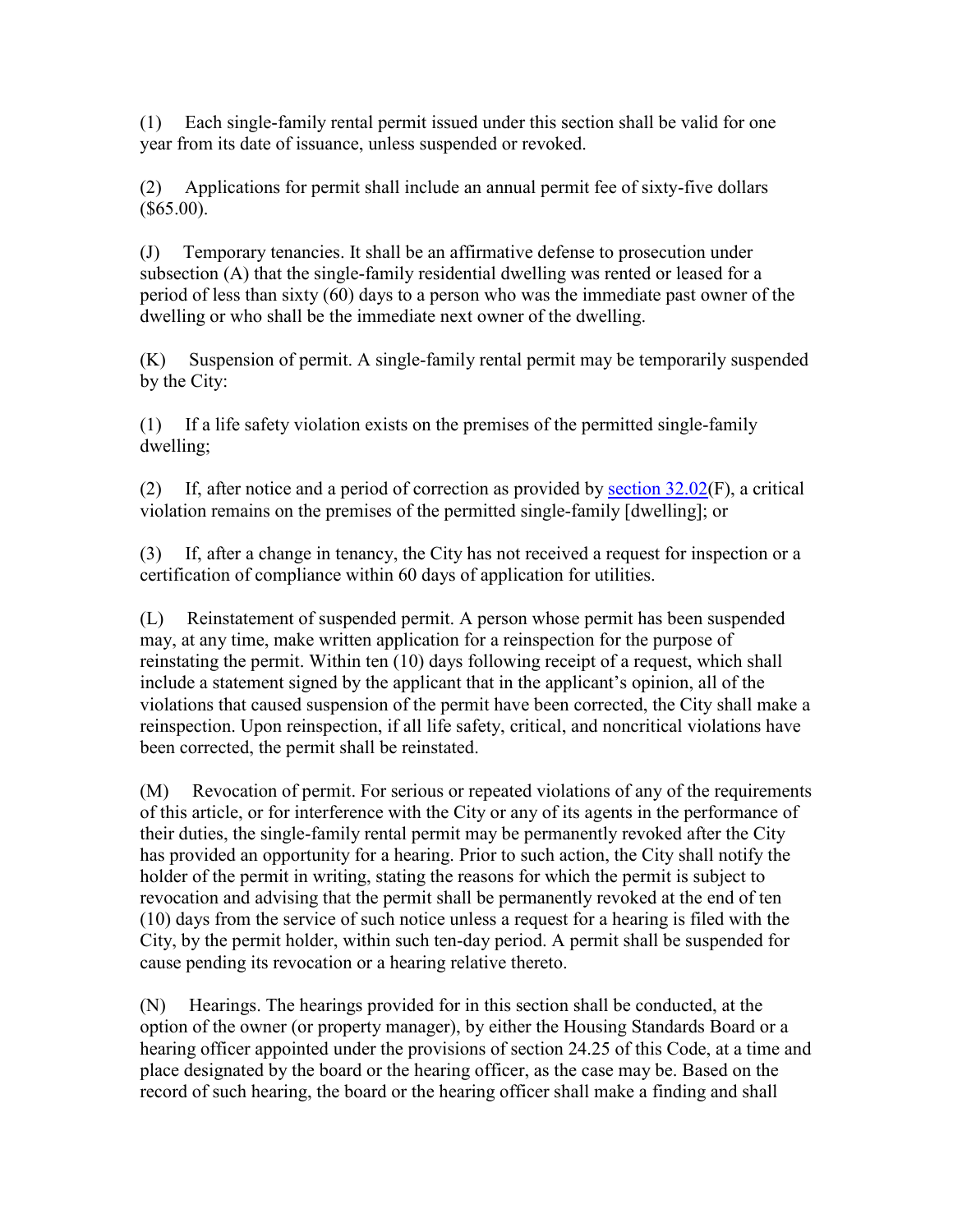(1) Each single-family rental permit issued under this section shall be valid for one year from its date of issuance, unless suspended or revoked.

(2) Applications for permit shall include an annual permit fee of sixty-five dollars  $($ \$65.00).

(J) Temporary tenancies. It shall be an affirmative defense to prosecution under subsection (A) that the single-family residential dwelling was rented or leased for a period of less than sixty (60) days to a person who was the immediate past owner of the dwelling or who shall be the immediate next owner of the dwelling.

(K) Suspension of permit. A single-family rental permit may be temporarily suspended by the City:

(1) If a life safety violation exists on the premises of the permitted single-family dwelling;

(2) If, after notice and a period of correction as provided by section 32.02(F), a critical violation remains on the premises of the permitted single-family [dwelling]; or

(3) If, after a change in tenancy, the City has not received a request for inspection or a certification of compliance within 60 days of application for utilities.

(L) Reinstatement of suspended permit. A person whose permit has been suspended may, at any time, make written application for a reinspection for the purpose of reinstating the permit. Within ten (10) days following receipt of a request, which shall include a statement signed by the applicant that in the applicant's opinion, all of the violations that caused suspension of the permit have been corrected, the City shall make a reinspection. Upon reinspection, if all life safety, critical, and noncritical violations have been corrected, the permit shall be reinstated.

(M) Revocation of permit. For serious or repeated violations of any of the requirements of this article, or for interference with the City or any of its agents in the performance of their duties, the single-family rental permit may be permanently revoked after the City has provided an opportunity for a hearing. Prior to such action, the City shall notify the holder of the permit in writing, stating the reasons for which the permit is subject to revocation and advising that the permit shall be permanently revoked at the end of ten (10) days from the service of such notice unless a request for a hearing is filed with the City, by the permit holder, within such ten-day period. A permit shall be suspended for cause pending its revocation or a hearing relative thereto.

(N) Hearings. The hearings provided for in this section shall be conducted, at the option of the owner (or property manager), by either the Housing Standards Board or a hearing officer appointed under the provisions of section 24.25 of this Code, at a time and place designated by the board or the hearing officer, as the case may be. Based on the record of such hearing, the board or the hearing officer shall make a finding and shall